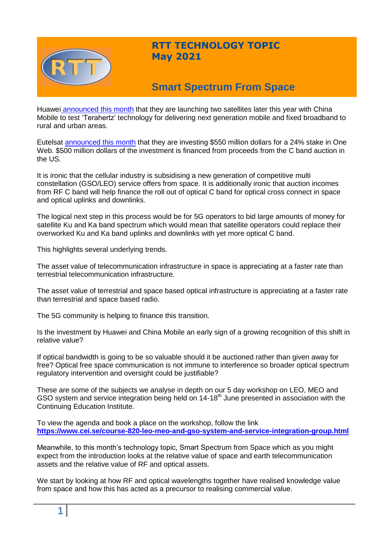

## **RTT TECHNOLOGY TOPIC May 2021**

# **Smart Spectrum From Space**

Huawei [announced this month](https://www.globaltimes.cn/page/202104/1221959.shtml) that they are launching two satellites later this year with China Mobile to test 'Terahertz' technology for delivering next generation mobile and fixed broadband to rural and urban areas.

Eutelsat [announced this month](https://www.datacenterdynamics.com/en/news/eutelsat-invests-550-million-in-oneweb/) that they are investing \$550 million dollars for a 24% stake in One Web. \$500 million dollars of the investment is financed from proceeds from the C band auction in the US.

It is ironic that the cellular industry is subsidising a new generation of competitive multi constellation (GSO/LEO) service offers from space. It is additionally ironic that auction incomes from RF C band will help finance the roll out of optical C band for optical cross connect in space and optical uplinks and downlinks.

The logical next step in this process would be for 5G operators to bid large amounts of money for satellite Ku and Ka band spectrum which would mean that satellite operators could replace their overworked Ku and Ka band uplinks and downlinks with yet more optical C band.

This highlights several underlying trends.

The asset value of telecommunication infrastructure in space is appreciating at a faster rate than terrestrial telecommunication infrastructure.

The asset value of terrestrial and space based optical infrastructure is appreciating at a faster rate than terrestrial and space based radio.

The 5G community is helping to finance this transition.

Is the investment by Huawei and China Mobile an early sign of a growing recognition of this shift in relative value?

If optical bandwidth is going to be so valuable should it be auctioned rather than given away for free? Optical free space communication is not immune to interference so broader optical spectrum regulatory intervention and oversight could be justifiable?

These are some of the subjects we analyse in depth on our 5 day workshop on LEO, MEO and GSO system and service integration being held on 14-18<sup>th</sup> June presented in association with the Continuing Education Institute.

To view the agenda and book a place on the workshop, follow the link **<https://www.cei.se/course-820-leo-meo-and-gso-system-and-service-integration-group.html>**

Meanwhile, to this month's technology topic, Smart Spectrum from Space which as you might expect from the introduction looks at the relative value of space and earth telecommunication assets and the relative value of RF and optical assets.

We start by looking at how RF and optical wavelengths together have realised knowledge value from space and how this has acted as a precursor to realising commercial value.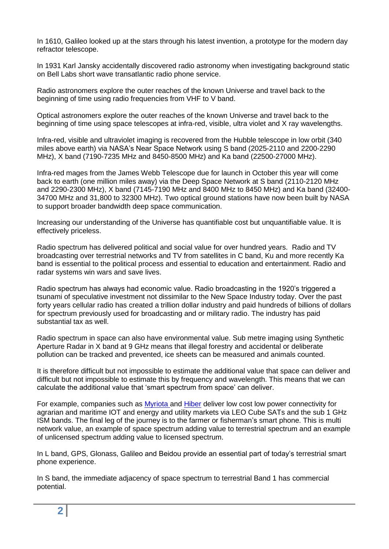In 1610, Galileo looked up at the stars through his latest invention, a prototype for the modern day refractor telescope.

In 1931 Karl Jansky accidentally discovered radio astronomy when investigating background static on Bell Labs short wave transatlantic radio phone service.

Radio astronomers explore the outer reaches of the known Universe and travel back to the beginning of time using radio frequencies from VHF to V band.

Optical astronomers explore the outer reaches of the known Universe and travel back to the beginning of time using space telescopes at infra-red, visible, ultra violet and X ray wavelengths.

Infra-red, visible and ultraviolet imaging is recovered from the Hubble telescope in low orbit (340 miles above earth) via NASA's Near Space Network using S band (2025-2110 and 2200-2290 MHz), X band (7190-7235 MHz and 8450-8500 MHz) and Ka band (22500-27000 MHz).

Infra-red mages from the James Webb Telescope due for launch in October this year will come back to earth (one million miles away) via the Deep Space Network at S band (2110-2120 MHz and 2290-2300 MHz), X band (7145-7190 MHz and 8400 MHz to 8450 MHz) and Ka band (32400- 34700 MHz and 31,800 to 32300 MHz). Two optical ground stations have now been built by NASA to support broader bandwidth deep space communication.

Increasing our understanding of the Universe has quantifiable cost but unquantifiable value. It is effectively priceless.

Radio spectrum has delivered political and social value for over hundred years. Radio and TV broadcasting over terrestrial networks and TV from satellites in C band, Ku and more recently Ka band is essential to the political process and essential to education and entertainment. Radio and radar systems win wars and save lives.

Radio spectrum has always had economic value. Radio broadcasting in the 1920's triggered a tsunami of speculative investment not dissimilar to the New Space Industry today. Over the past forty years cellular radio has created a trillion dollar industry and paid hundreds of billions of dollars for spectrum previously used for broadcasting and or military radio. The industry has paid substantial tax as well.

Radio spectrum in space can also have environmental value. Sub metre imaging using Synthetic Aperture Radar in X band at 9 GHz means that illegal forestry and accidental or deliberate pollution can be tracked and prevented, ice sheets can be measured and animals counted.

It is therefore difficult but not impossible to estimate the additional value that space can deliver and difficult but not impossible to estimate this by frequency and wavelength. This means that we can calculate the additional value that 'smart spectrum from space' can deliver.

For example, companies such as [Myriota a](https://myriota.com/)nd [Hiber](https://hiber.global/) deliver low cost low power connectivity for agrarian and maritime IOT and energy and utility markets via LEO Cube SATs and the sub 1 GHz ISM bands. The final leg of the journey is to the farmer or fisherman's smart phone. This is multi network value, an example of space spectrum adding value to terrestrial spectrum and an example of unlicensed spectrum adding value to licensed spectrum.

In L band, GPS, Glonass, Galileo and Beidou provide an essential part of today's terrestrial smart phone experience.

In S band, the immediate adjacency of space spectrum to terrestrial Band 1 has commercial potential.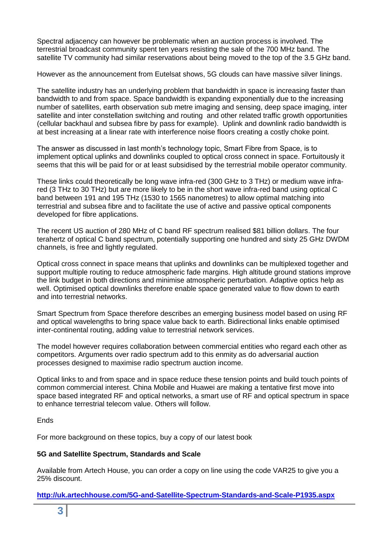Spectral adjacency can however be problematic when an auction process is involved. The terrestrial broadcast community spent ten years resisting the sale of the 700 MHz band. The satellite TV community had similar reservations about being moved to the top of the 3.5 GHz band.

However as the announcement from Eutelsat shows, 5G clouds can have massive silver linings.

The satellite industry has an underlying problem that bandwidth in space is increasing faster than bandwidth to and from space. Space bandwidth is expanding exponentially due to the increasing number of satellites, earth observation sub metre imaging and sensing, deep space imaging, inter satellite and inter constellation switching and routing and other related traffic growth opportunities (cellular backhaul and subsea fibre by pass for example). Uplink and downlink radio bandwidth is at best increasing at a linear rate with interference noise floors creating a costly choke point.

The answer as discussed in last month's technology topic, Smart Fibre from Space, is to implement optical uplinks and downlinks coupled to optical cross connect in space. Fortuitously it seems that this will be paid for or at least subsidised by the terrestrial mobile operator community.

These links could theoretically be long wave infra-red (300 GHz to 3 THz) or medium wave infrared (3 THz to 30 THz) but are more likely to be in the short wave infra-red band using optical C band between 191 and 195 THz (1530 to 1565 nanometres) to allow optimal matching into terrestrial and subsea fibre and to facilitate the use of active and passive optical components developed for fibre applications.

The recent US auction of 280 MHz of C band RF spectrum realised \$81 billion dollars. The four terahertz of optical C band spectrum, potentially supporting one hundred and sixty 25 GHz DWDM channels, is free and lightly regulated.

Optical cross connect in space means that uplinks and downlinks can be multiplexed together and support multiple routing to reduce atmospheric fade margins. High altitude ground stations improve the link budget in both directions and minimise atmospheric perturbation. Adaptive optics help as well. Optimised optical downlinks therefore enable space generated value to flow down to earth and into terrestrial networks.

Smart Spectrum from Space therefore describes an emerging business model based on using RF and optical wavelengths to bring space value back to earth. Bidirectional links enable optimised inter-continental routing, adding value to terrestrial network services.

The model however requires collaboration between commercial entities who regard each other as competitors. Arguments over radio spectrum add to this enmity as do adversarial auction processes designed to maximise radio spectrum auction income.

Optical links to and from space and in space reduce these tension points and build touch points of common commercial interest. China Mobile and Huawei are making a tentative first move into space based integrated RF and optical networks, a smart use of RF and optical spectrum in space to enhance terrestrial telecom value. Others will follow.

**Ends** 

For more background on these topics, buy a copy of our latest book

#### **5G and Satellite Spectrum, Standards and Scale**

Available from Artech House, you can order a copy on line using the code VAR25 to give you a 25% discount.

**<http://uk.artechhouse.com/5G-and-Satellite-Spectrum-Standards-and-Scale-P1935.aspx>**